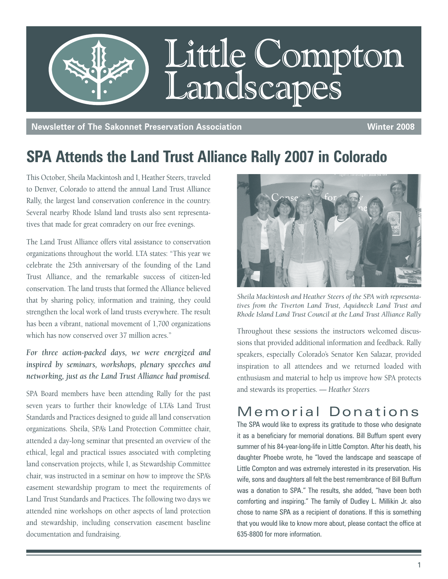

**Newsletter of The Sakonnet Preservation Association Winter 2008** 

## **SPA Attends the Land Trust Alliance Rally 2007 in Colorado**

This October, Sheila Mackintosh and I, Heather Steers, traveled to Denver, Colorado to attend the annual Land Trust Alliance Rally, the largest land conservation conference in the country. Several nearby Rhode Island land trusts also sent representatives that made for great comradery on our free evenings.

The Land Trust Alliance offers vital assistance to conservation organizations throughout the world. LTA states: "This year we celebrate the 25th anniversary of the founding of the Land Trust Alliance, and the remarkable success of citizen-led conservation. The land trusts that formed the Alliance believed that by sharing policy, information and training, they could strengthen the local work of land trusts everywhere. The result has been a vibrant, national movement of 1,700 organizations which has now conserved over 37 million acres."

*For three action-packed days, we were energized and inspired by seminars, workshops, plenary speeches and networking, just as the Land Trust Alliance had promised.*

SPA Board members have been attending Rally for the past seven years to further their knowledge of LTA's Land Trust Standards and Practices designed to guide all land conservation organizations. Sheila, SPA's Land Protection Committee chair, attended a day-long seminar that presented an overview of the ethical, legal and practical issues associated with completing land conservation projects, while I, as Stewardship Committee chair, was instructed in a seminar on how to improve the SPA's easement stewardship program to meet the requirements of Land Trust Standards and Practices. The following two days we attended nine workshops on other aspects of land protection and stewardship, including conservation easement baseline documentation and fundraising.



*Sheila Mackintosh and Heather Steers of the SPA with representatives from the Tiverton Land Trust, Aquidneck Land Trust and Rhode Island Land Trust Council at the Land Trust Alliance Rally*

Throughout these sessions the instructors welcomed discussions that provided additional information and feedback. Rally speakers, especially Colorado's Senator Ken Salazar, provided inspiration to all attendees and we returned loaded with enthusiasm and material to help us improve how SPA protects and stewards its properties. *— Heather Steers*

### Memorial Donations

The SPA would like to express its gratitude to those who designate it as a beneficiary for memorial donations. Bill Buffum spent every summer of his 84-year-long-life in Little Compton. After his death, his daughter Phoebe wrote, he "loved the landscape and seascape of Little Compton and was extremely interested in its preservation. His wife, sons and daughters all felt the best remembrance of Bill Buffum was a donation to SPA." The results, she added, "have been both comforting and inspiring." The family of Dudley L. Millikin Jr. also chose to name SPA as a recipient of donations. If this is something that you would like to know more about, please contact the office at 635-8800 for more information.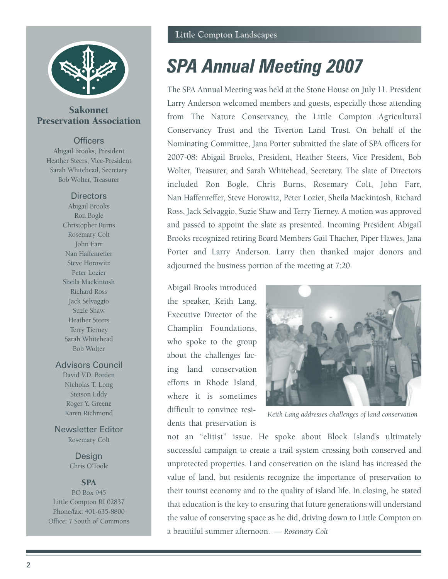

### Sakonnet Preservation Association

#### **Officers**

Abigail Brooks, President Heather Steers, Vice-President Sarah Whitehead, Secretary Bob Wolter, Treasurer

#### **Directors**

Abigail Brooks Ron Bogle Christopher Burns Rosemary Colt John Farr Nan Haffenreffer Steve Horowitz Peter Lozier Sheila Mackintosh Richard Ross Jack Selvaggio Suzie Shaw Heather Steers Terry Tierney Sarah Whitehead Bob Wolter

#### Advisors Council

David V.D. Borden Nicholas T. Long Stetson Eddy Roger Y. Greene Karen Richmond

Newsletter Editor Rosemary Colt

> Design Chris O'Toole

#### **SPA**

P.O Box 945 Little Compton RI 02837 Phone/fax: 401-635-8800 Office: 7 South of Commons

# *SPA Annual Meeting 2007*

The SPA Annual Meeting was held at the Stone House on July 11. President Larry Anderson welcomed members and guests, especially those attending from The Nature Conservancy, the Little Compton Agricultural Conservancy Trust and the Tiverton Land Trust. On behalf of the Nominating Committee, Jana Porter submitted the slate of SPA officers for 2007-08: Abigail Brooks, President, Heather Steers, Vice President, Bob Wolter, Treasurer, and Sarah Whitehead, Secretary. The slate of Directors included Ron Bogle, Chris Burns, Rosemary Colt, John Farr, Nan Haffenreffer, Steve Horowitz, Peter Lozier, Sheila Mackintosh, Richard Ross, Jack Selvaggio, Suzie Shaw and Terry Tierney. A motion was approved and passed to appoint the slate as presented. Incoming President Abigail Brooks recognized retiring Board Members Gail Thacher, Piper Hawes, Jana Porter and Larry Anderson. Larry then thanked major donors and adjourned the business portion of the meeting at 7:20.

Abigail Brooks introduced the speaker, Keith Lang, Executive Director of the Champlin Foundations, who spoke to the group about the challenges facing land conservation efforts in Rhode Island, where it is sometimes difficult to convince residents that preservation is



*Keith Lang addresses challenges of land conservation*

not an "elitist" issue. He spoke about Block Island's ultimately successful campaign to create a trail system crossing both conserved and unprotected properties. Land conservation on the island has increased the value of land, but residents recognize the importance of preservation to their tourist economy and to the quality of island life. In closing, he stated that education is the key to ensuring that future generations will understand the value of conserving space as he did, driving down to Little Compton on a beautiful summer afternoon. *— Rosemary Colt*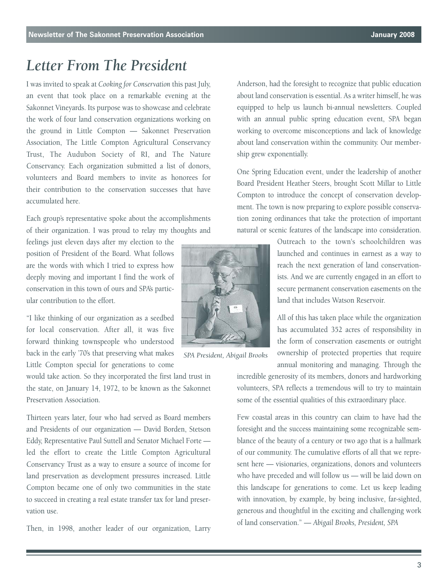### *Letter From The President*

I was invited to speak at *Cooking for Conservation* this past July, an event that took place on a remarkable evening at the Sakonnet Vineyards. Its purpose was to showcase and celebrate the work of four land conservation organizations working on the ground in Little Compton — Sakonnet Preservation Association, The Little Compton Agricultural Conservancy Trust, The Audubon Society of RI, and The Nature Conservancy. Each organization submitted a list of donors, volunteers and Board members to invite as honorees for their contribution to the conservation successes that have accumulated here.

Each group's representative spoke about the accomplishments of their organization. I was proud to relay my thoughts and

feelings just eleven days after my election to the position of President of the Board. What follows are the words with which I tried to express how deeply moving and important I find the work of conservation in this town of ours and SPA's particular contribution to the effort.

"I like thinking of our organization as a seedbed for local conservation. After all, it was five forward thinking townspeople who understood back in the early '70's that preserving what makes Little Compton special for generations to come

would take action. So they incorporated the first land trust in the state, on January 14, 1972, to be known as the Sakonnet Preservation Association.

Thirteen years later, four who had served as Board members and Presidents of our organization — David Borden, Stetson Eddy, Representative Paul Suttell and Senator Michael Forte led the effort to create the Little Compton Agricultural Conservancy Trust as a way to ensure a source of income for land preservation as development pressures increased. Little Compton became one of only two communities in the state to succeed in creating a real estate transfer tax for land preservation use.

Then, in 1998, another leader of our organization, Larry

*SPA President, Abigail Brooks*

Anderson, had the foresight to recognize that public education about land conservation is essential. As a writer himself, he was equipped to help us launch bi-annual newsletters. Coupled with an annual public spring education event, SPA began working to overcome misconceptions and lack of knowledge about land conservation within the community. Our membership grew exponentially.

One Spring Education event, under the leadership of another Board President Heather Steers, brought Scott Millar to Little Compton to introduce the concept of conservation development. The town is now preparing to explore possible conservation zoning ordinances that take the protection of important natural or scenic features of the landscape into consideration.

> Outreach to the town's schoolchildren was launched and continues in earnest as a way to reach the next generation of land conservationists. And we are currently engaged in an effort to secure permanent conservation easements on the land that includes Watson Reservoir.

> All of this has taken place while the organization has accumulated 352 acres of responsibility in the form of conservation easements or outright ownership of protected properties that require annual monitoring and managing. Through the

incredible generosity of its members, donors and hardworking volunteers, SPA reflects a tremendous will to try to maintain some of the essential qualities of this extraordinary place.

Few coastal areas in this country can claim to have had the foresight and the success maintaining some recognizable semblance of the beauty of a century or two ago that is a hallmark of our community. The cumulative efforts of all that we represent here — visionaries, organizations, donors and volunteers who have preceded and will follow us — will be laid down on this landscape for generations to come. Let us keep leading with innovation, by example, by being inclusive, far-sighted, generous and thoughtful in the exciting and challenging work of land conservation." — *Abigail Brooks, President, SPA*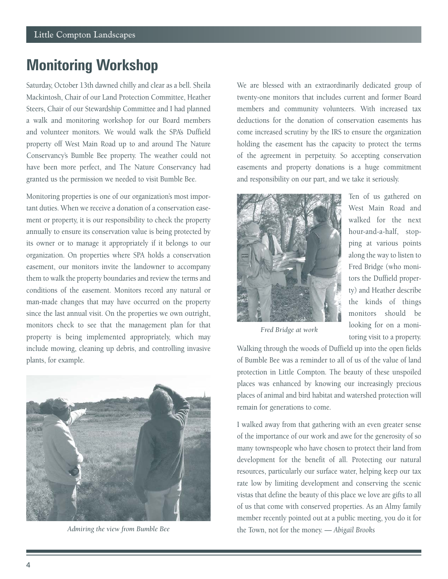### **Monitoring Workshop**

Saturday, October 13th dawned chilly and clear as a bell. Sheila Mackintosh, Chair of our Land Protection Committee, Heather Steers, Chair of our Stewardship Committee and I had planned a walk and monitoring workshop for our Board members and volunteer monitors. We would walk the SPA's Duffield property off West Main Road up to and around The Nature Conservancy's Bumble Bee property. The weather could not have been more perfect, and The Nature Conservancy had granted us the permission we needed to visit Bumble Bee.

Monitoring properties is one of our organization's most important duties. When we receive a donation of a conservation easement or property, it is our responsibility to check the property annually to ensure its conservation value is being protected by its owner or to manage it appropriately if it belongs to our organization. On properties where SPA holds a conservation easement, our monitors invite the landowner to accompany them to walk the property boundaries and review the terms and conditions of the easement. Monitors record any natural or man-made changes that may have occurred on the property since the last annual visit. On the properties we own outright, monitors check to see that the management plan for that property is being implemented appropriately, which may include mowing, cleaning up debris, and controlling invasive plants, for example.



*Admiring the view from Bumble Bee*

We are blessed with an extraordinarily dedicated group of twenty-one monitors that includes current and former Board members and community volunteers. With increased tax deductions for the donation of conservation easements has come increased scrutiny by the IRS to ensure the organization holding the easement has the capacity to protect the terms of the agreement in perpetuity. So accepting conservation easements and property donations is a huge commitment and responsibility on our part, and we take it seriously.



Ten of us gathered on West Main Road and walked for the next hour-and-a-half, stopping at various points along the way to listen to Fred Bridge (who monitors the Duffield property) and Heather describe the kinds of things monitors should be looking for on a monitoring visit to a property.

*Fred Bridge at work*

Walking through the woods of Duffield up into the open fields of Bumble Bee was a reminder to all of us of the value of land protection in Little Compton. The beauty of these unspoiled places was enhanced by knowing our increasingly precious places of animal and bird habitat and watershed protection will remain for generations to come.

I walked away from that gathering with an even greater sense of the importance of our work and awe for the generosity of so many townspeople who have chosen to protect their land from development for the benefit of all. Protecting our natural resources, particularly our surface water, helping keep our tax rate low by limiting development and conserving the scenic vistas that define the beauty of this place we love are gifts to all of us that come with conserved properties. As an Almy family member recently pointed out at a public meeting, you do it for the Town, not for the money. *— Abigail Brooks*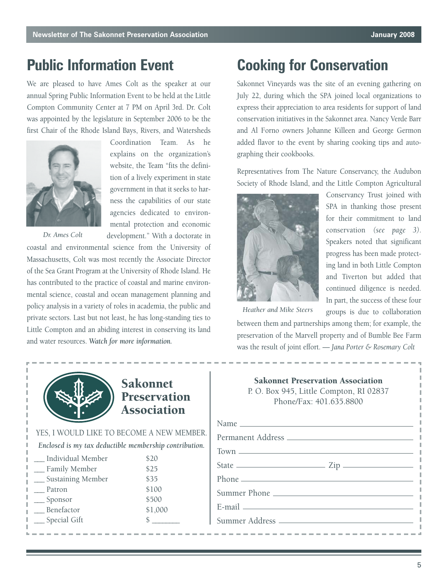### **Public Information Event**

We are pleased to have Ames Colt as the speaker at our annual Spring Public Information Event to be held at the Little Compton Community Center at 7 PM on April 3rd. Dr. Colt was appointed by the legislature in September 2006 to be the first Chair of the Rhode Island Bays, Rivers, and Watersheds

> Coordination Team. As he explains on the organization's website, the Team "fits the definition of a lively experiment in state government in that it seeks to harness the capabilities of our state agencies dedicated to environmental protection and economic



*Dr. Ames Colt*

development." With a doctorate in coastal and environmental science from the University of Massachusetts, Colt was most recently the Associate Director of the Sea Grant Program at the University of Rhode Island. He has contributed to the practice of coastal and marine environmental science, coastal and ocean management planning and policy analysis in a variety of roles in academia, the public and private sectors. Last but not least, he has long-standing ties to Little Compton and an abiding interest in conserving its land and water resources. *Watch for more information.* 

# **Cooking for Conservation**

Sakonnet Vineyards was the site of an evening gathering on July 22, during which the SPA joined local organizations to express their appreciation to area residents for support of land conservation initiatives in the Sakonnet area. Nancy Verde Barr and Al Forno owners Johanne Killeen and George Germon added flavor to the event by sharing cooking tips and autographing their cookbooks.

Representatives from The Nature Conservancy, the Audubon Society of Rhode Island, and the Little Compton Agricultural



Conservancy Trust joined with SPA in thanking those present for their commitment to land conservation *(see page 3)*. Speakers noted that significant progress has been made protecting land in both Little Compton and Tiverton but added that continued diligence is needed. In part, the success of these four groups is due to collaboration

*Heather and Mike Steers*

between them and partnerships among them; for example, the preservation of the Marvell property and of Bumble Bee Farm was the result of joint effort. *— Jana Porter & Rosemary Colt*



### Sakonnet Preservation Association

| YES, I WOULD LIKE TO BECOME A NEW MEMBER.              |         |  |
|--------------------------------------------------------|---------|--|
| Enclosed is my tax deductible membership contribution. |         |  |
| Individual Member                                      | \$20    |  |
| - Family Member                                        | \$25    |  |
| __ Sustaining Member                                   | \$35    |  |
| Patron                                                 | \$100   |  |
| __ Sponsor                                             | \$500   |  |
| Benefactor                                             | \$1,000 |  |
| Special Gift                                           |         |  |

#### Sakonnet Preservation Association P. O. Box 945, Little Compton, RI 02837 Phone/Fax: 401.635.8800

| Name         |  |
|--------------|--|
|              |  |
|              |  |
|              |  |
|              |  |
| Summer Phone |  |
|              |  |
|              |  |
|              |  |